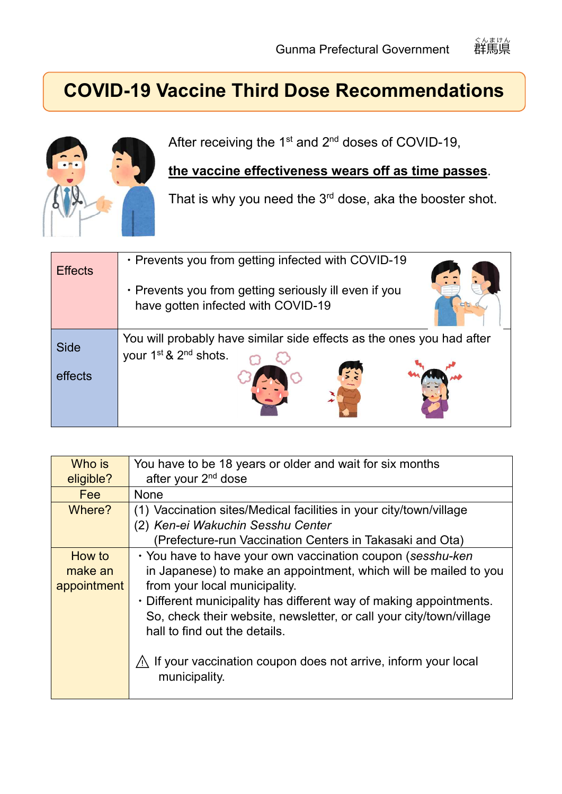## **COVID-19 Vaccine Third Dose Recommendations**



After receiving the  $1<sup>st</sup>$  and  $2<sup>nd</sup>$  doses of COVID-19,

## **the vaccine effectiveness wears off as time passes**.

That is why you need the  $3<sup>rd</sup>$  dose, aka the booster shot.

| <b>Effects</b> | • Prevents you from getting infected with COVID-19<br>• Prevents you from getting seriously ill even if you<br>have gotten infected with COVID-19 |
|----------------|---------------------------------------------------------------------------------------------------------------------------------------------------|
| <b>Side</b>    | You will probably have similar side effects as the ones you had after                                                                             |
| effects        | your 1 <sup>st</sup> & 2 <sup>nd</sup> shots.                                                                                                     |

| Who is      | You have to be 18 years or older and wait for six months                                            |  |  |
|-------------|-----------------------------------------------------------------------------------------------------|--|--|
| eligible?   | after your 2 <sup>nd</sup> dose                                                                     |  |  |
| Fee         | None                                                                                                |  |  |
| Where?      | (1) Vaccination sites/Medical facilities in your city/town/village                                  |  |  |
|             | (2) Ken-ei Wakuchin Sesshu Center                                                                   |  |  |
|             | (Prefecture-run Vaccination Centers in Takasaki and Ota)                                            |  |  |
| How to      | · You have to have your own vaccination coupon (sesshu-ken                                          |  |  |
| make an     | in Japanese) to make an appointment, which will be mailed to you                                    |  |  |
| appointment | from your local municipality.<br>• Different municipality has different way of making appointments. |  |  |
|             |                                                                                                     |  |  |
|             | So, check their website, newsletter, or call your city/town/village                                 |  |  |
|             | hall to find out the details.                                                                       |  |  |
|             | If your vaccination coupon does not arrive, inform your local<br>municipality.                      |  |  |